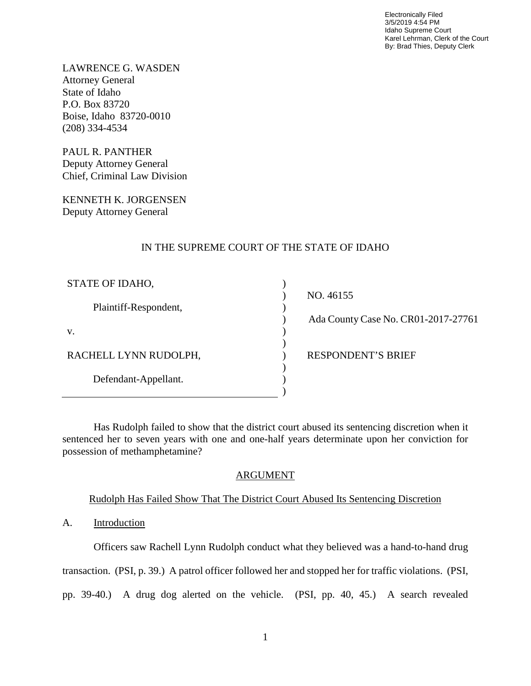Electronically Filed 3/5/2019 4:54 PM Idaho Supreme Court Karel Lehrman, Clerk of the Court By: Brad Thies, Deputy Clerk

LAWRENCE G. WASDEN Attorney General State of Idaho P.O. Box 83720 Boise, Idaho 83720-0010 (208) 334-4534

PAUL R. PANTHER Deputy Attorney General Chief, Criminal Law Division

KENNETH K. JORGENSEN Deputy Attorney General

# IN THE SUPREME COURT OF THE STATE OF IDAHO

) ) ) ) ) ) ) ) ) )

| STATE OF IDAHO,       |
|-----------------------|
| Plaintiff-Respondent, |
| V.                    |
| RACHELL LYNN RUDOLPH, |
| Defendant-Appellant.  |
|                       |

 NO. 46155 Ada County Case No. CR01-2017-27761 RESPONDENT'S BRIEF

Has Rudolph failed to show that the district court abused its sentencing discretion when it sentenced her to seven years with one and one-half years determinate upon her conviction for possession of methamphetamine?

## ARGUMENT

# Rudolph Has Failed Show That The District Court Abused Its Sentencing Discretion

A. Introduction

Officers saw Rachell Lynn Rudolph conduct what they believed was a hand-to-hand drug transaction. (PSI, p. 39.) A patrol officer followed her and stopped her for traffic violations. (PSI, pp. 39-40.) A drug dog alerted on the vehicle. (PSI, pp. 40, 45.) A search revealed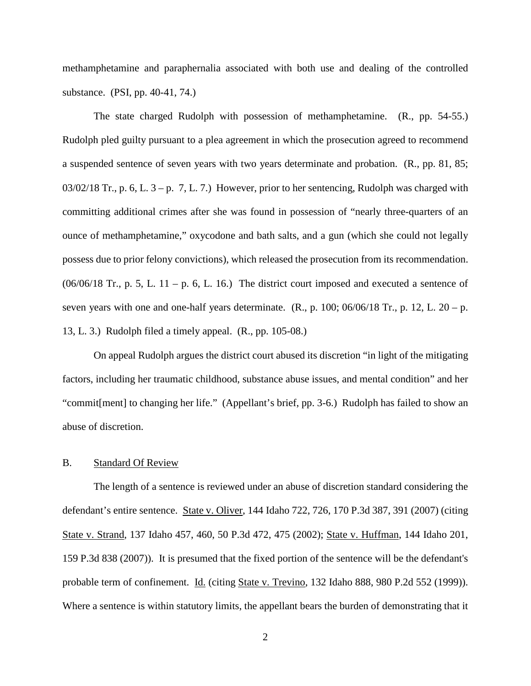methamphetamine and paraphernalia associated with both use and dealing of the controlled substance. (PSI, pp. 40-41, 74.)

The state charged Rudolph with possession of methamphetamine. (R., pp. 54-55.) Rudolph pled guilty pursuant to a plea agreement in which the prosecution agreed to recommend a suspended sentence of seven years with two years determinate and probation. (R., pp. 81, 85;  $03/02/18$  Tr., p. 6, L.  $3 - p$ . 7, L. 7.) However, prior to her sentencing, Rudolph was charged with committing additional crimes after she was found in possession of "nearly three-quarters of an ounce of methamphetamine," oxycodone and bath salts, and a gun (which she could not legally possess due to prior felony convictions), which released the prosecution from its recommendation.  $(06/06/18$  Tr., p. 5, L. 11 – p. 6, L. 16.) The district court imposed and executed a sentence of seven years with one and one-half years determinate.  $(R., p. 100; 06/06/18$  Tr., p. 12, L.  $20 - p$ . 13, L. 3.) Rudolph filed a timely appeal. (R., pp. 105-08.)

On appeal Rudolph argues the district court abused its discretion "in light of the mitigating factors, including her traumatic childhood, substance abuse issues, and mental condition" and her "commit[ment] to changing her life." (Appellant's brief, pp. 3-6.) Rudolph has failed to show an abuse of discretion.

#### B. Standard Of Review

The length of a sentence is reviewed under an abuse of discretion standard considering the defendant's entire sentence. State v. Oliver, 144 Idaho 722, 726, 170 P.3d 387, 391 (2007) (citing State v. Strand, 137 Idaho 457, 460, 50 P.3d 472, 475 (2002); State v. Huffman, 144 Idaho 201, 159 P.3d 838 (2007)). It is presumed that the fixed portion of the sentence will be the defendant's probable term of confinement. Id. (citing State v. Trevino, 132 Idaho 888, 980 P.2d 552 (1999)). Where a sentence is within statutory limits, the appellant bears the burden of demonstrating that it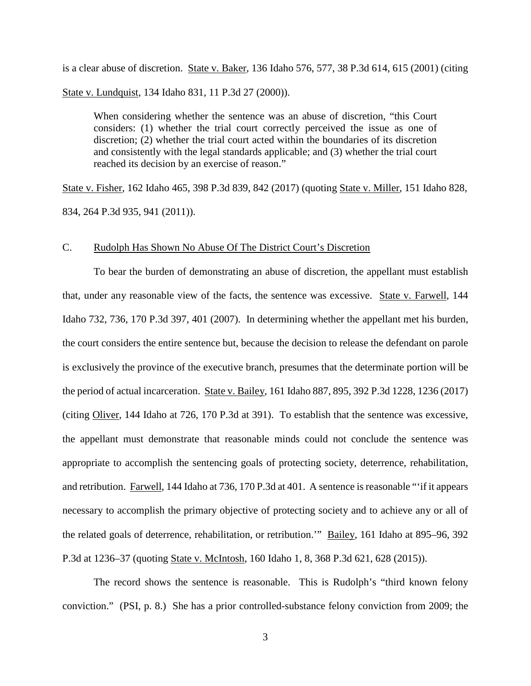is a clear abuse of discretion. State v. Baker, 136 Idaho 576, 577, 38 P.3d 614, 615 (2001) (citing State v. Lundquist, 134 Idaho 831, 11 P.3d 27 (2000)).

When considering whether the sentence was an abuse of discretion, "this Court considers: (1) whether the trial court correctly perceived the issue as one of discretion; (2) whether the trial court acted within the boundaries of its discretion and consistently with the legal standards applicable; and (3) whether the trial court reached its decision by an exercise of reason."

State v. Fisher, 162 Idaho 465, 398 P.3d 839, 842 (2017) (quoting State v. Miller, 151 Idaho 828, 834, 264 P.3d 935, 941 (2011)).

#### C. Rudolph Has Shown No Abuse Of The District Court's Discretion

To bear the burden of demonstrating an abuse of discretion, the appellant must establish that, under any reasonable view of the facts, the sentence was excessive. State v. Farwell, 144 Idaho 732, 736, 170 P.3d 397, 401 (2007). In determining whether the appellant met his burden, the court considers the entire sentence but, because the decision to release the defendant on parole is exclusively the province of the executive branch, presumes that the determinate portion will be the period of actual incarceration. State v. Bailey, 161 Idaho 887, 895, 392 P.3d 1228, 1236 (2017) (citing Oliver, 144 Idaho at 726, 170 P.3d at 391). To establish that the sentence was excessive, the appellant must demonstrate that reasonable minds could not conclude the sentence was appropriate to accomplish the sentencing goals of protecting society, deterrence, rehabilitation, and retribution. Farwell, 144 Idaho at 736, 170 P.3d at 401. A sentence is reasonable "'if it appears necessary to accomplish the primary objective of protecting society and to achieve any or all of the related goals of deterrence, rehabilitation, or retribution.'" Bailey, 161 Idaho at 895–96, 392 P.3d at 1236–37 (quoting State v. McIntosh, 160 Idaho 1, 8, 368 P.3d 621, 628 (2015)).

The record shows the sentence is reasonable. This is Rudolph's "third known felony conviction." (PSI, p. 8.) She has a prior controlled-substance felony conviction from 2009; the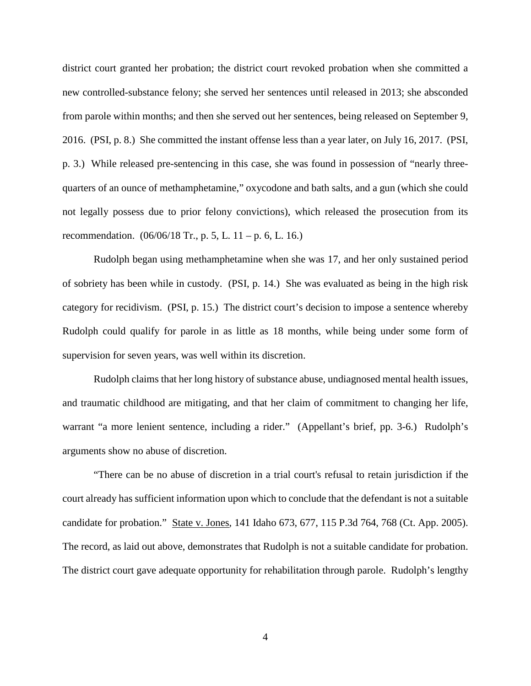district court granted her probation; the district court revoked probation when she committed a new controlled-substance felony; she served her sentences until released in 2013; she absconded from parole within months; and then she served out her sentences, being released on September 9, 2016. (PSI, p. 8.) She committed the instant offense less than a year later, on July 16, 2017. (PSI, p. 3.) While released pre-sentencing in this case, she was found in possession of "nearly threequarters of an ounce of methamphetamine," oxycodone and bath salts, and a gun (which she could not legally possess due to prior felony convictions), which released the prosecution from its recommendation.  $(06/06/18 \text{ Tr.}, p. 5, L. 11 - p. 6, L. 16.)$ 

Rudolph began using methamphetamine when she was 17, and her only sustained period of sobriety has been while in custody. (PSI, p. 14.) She was evaluated as being in the high risk category for recidivism. (PSI, p. 15.) The district court's decision to impose a sentence whereby Rudolph could qualify for parole in as little as 18 months, while being under some form of supervision for seven years, was well within its discretion.

 Rudolph claims that her long history of substance abuse, undiagnosed mental health issues, and traumatic childhood are mitigating, and that her claim of commitment to changing her life, warrant "a more lenient sentence, including a rider." (Appellant's brief, pp. 3-6.) Rudolph's arguments show no abuse of discretion.

"There can be no abuse of discretion in a trial court's refusal to retain jurisdiction if the court already has sufficient information upon which to conclude that the defendant is not a suitable candidate for probation." State v. Jones, 141 Idaho 673, 677, 115 P.3d 764, 768 (Ct. App. 2005). The record, as laid out above, demonstrates that Rudolph is not a suitable candidate for probation. The district court gave adequate opportunity for rehabilitation through parole. Rudolph's lengthy